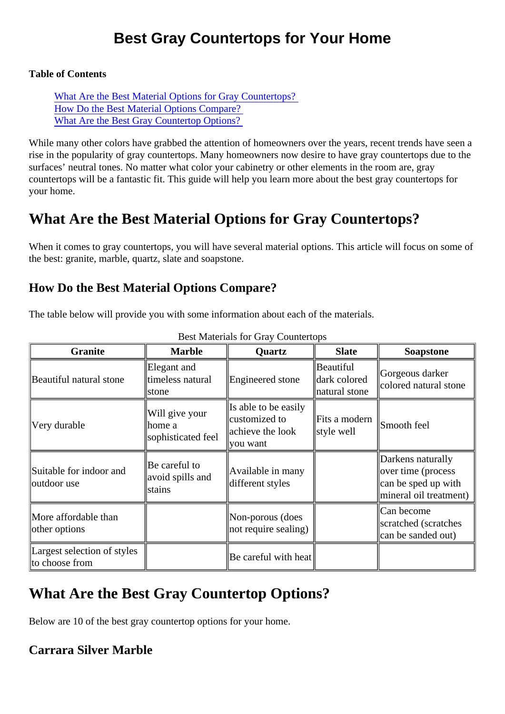# Best Gray Countertops for Your Home

Table of Contents

What Are the Best Material Options for Gray Countertops? How Do the Best Material Options Compare? What Are the Best Gray Countertop Options?

While many other colors have grabbed the attention of homeowners over the years, recent trends have se rise in the popularity of gray countertops. Many homeowners now desire to have gray countertops due to the surfaces' neutral tones. No matter what color your cabinetry or other elements in the room are, gray countertops will be a fantastic fit. This guide will help you learn more about the best gray countertops for your home.

# What Are the Best Material Options for Gray Countertops?

When it comes to gray countertops, you will have several material options. This article will focus on some the best: granite, marble, quartz, slate and soapstone.

# How Do the Best Material Options Compare?

The table below will provide you with some information about each of the materials.

| Granite                                        | Marble                                          | Quartz                                                                | Slate                                             | Soapstone                                                                                |
|------------------------------------------------|-------------------------------------------------|-----------------------------------------------------------------------|---------------------------------------------------|------------------------------------------------------------------------------------------|
| Beautiful natural stone                        | Elegant and<br>timeless natural<br>Istone       | Engineered stone   dark colored                                       | <b>Beautiful</b><br>natural stone                 | Gorgeous darker<br>colored natural stone                                                 |
| Very durable                                   | Will give your<br>lhome a<br>sophisticated feel | Is able to be easily<br>customized to<br>achieve the look<br>you want | $\ $ Fits a modern $\ $ Smooth feel<br>style well |                                                                                          |
| Suitable for indoor and<br>outdoor use         | Be careful to<br>avoid spills and<br>stains     | Available in many<br>different styles                                 |                                                   | Darkens naturally<br>over time (process<br>can be sped up with<br>mineral oil treatment) |
| More affordable than<br>other options          |                                                 | Non-porous (does<br>not require sealing                               |                                                   | Can become<br>scratched (scratches<br>can be sanded out)                                 |
| Largest selection of style\$<br>to choose from |                                                 | Be careful with heat                                                  |                                                   |                                                                                          |

#### Best Materials for Gray Countertops

# What Are the Best Gray Countertop Options?

Below are 10 of the best gray countertop options for your home.

Carrara Silver Marble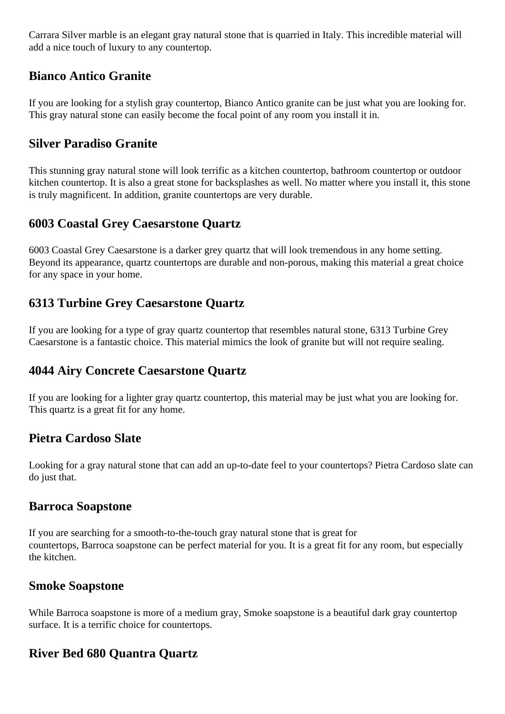Carrara Silver marble is an elegant gray natural stone that is quarried in Italy. This incredible material will add a nice touch of luxury to any countertop.

## **Bianco Antico Granite**

If you are looking for a stylish gray countertop, Bianco Antico granite can be just what you are looking for. This gray natural stone can easily become the focal point of any room you install it in.

### **Silver Paradiso Granite**

This stunning gray natural stone will look terrific as a kitchen countertop, bathroom countertop or outdoor kitchen countertop. It is also a great stone for backsplashes as well. No matter where you install it, this stone is truly magnificent. In addition, granite countertops are very durable.

## **6003 Coastal Grey Caesarstone Quartz**

6003 Coastal Grey Caesarstone is a darker grey quartz that will look tremendous in any home setting. Beyond its appearance, quartz countertops are durable and non-porous, making this material a great choice for any space in your home.

### **6313 Turbine Grey Caesarstone Quartz**

If you are looking for a type of gray quartz countertop that resembles natural stone, 6313 Turbine Grey Caesarstone is a fantastic choice. This material mimics the look of granite but will not require sealing.

# **4044 Airy Concrete Caesarstone Quartz**

If you are looking for a lighter gray quartz countertop, this material may be just what you are looking for. This quartz is a great fit for any home.

### **Pietra Cardoso Slate**

Looking for a gray natural stone that can add an up-to-date feel to your countertops? Pietra Cardoso slate can do just that.

#### **Barroca Soapstone**

If you are searching for a smooth-to-the-touch gray natural stone that is great for countertops, Barroca soapstone can be perfect material for you. It is a great fit for any room, but especially the kitchen.

### **Smoke Soapstone**

While Barroca soapstone is more of a medium gray, Smoke soapstone is a beautiful dark gray countertop surface. It is a terrific choice for countertops.

# **River Bed 680 Quantra Quartz**